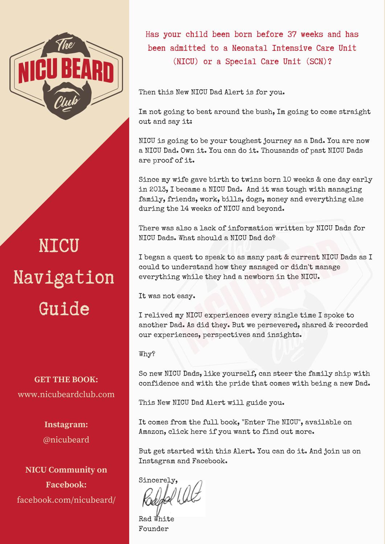

# NICU [Navigation](https://amzn.to/2BNNA7j) Guide

**GET THE BOOK:** www.nicubeardclub.com

> **Instagram:** @nicubeard

**NICU Community on Facebook:** [facebook.com/nicubeard/](http://bit.ly/NICUDadBook) Has your child been born before 37 weeks and has been admitted to a Neonatal [Intensive](https://www.amazon.com/Enter-NICU-Quarterback-Their-Lives/dp/1549795368/ref=sr_1_1?keywords=enter+the+nicu&qid=1565661384&s=gateway&sr=8-1) Care Unit (NICU) or a Special Care Unit (SCN)?

Then this New NICU Dad Alert is for you.

Im not going to beat around the bush, Im going to come straight out and say it:

NICU is going to be your toughest journey as a Dad. You are now a NICU Dad. Own it. You can do it. Thousands of past NICU Dads are proof of it.

Since my wife gave birth to twins born 10 weeks & one day early in 2013, I became a NICU Dad. And it was tough with managing family, friends, work, bills, dogs, money and everything else during the 14 weeks of NICU and beyond.

There was also a lack of information written by NICU Dads for NICU Dads. What should a NICU Dad do?

I began a quest to speak to as many past & current NICU Dads as I could to understand how they managed or didn't manage everything while they had a newborn in the NICU.

It was not easy.

I relived my NICU experiences every single time I spoke to another Dad. As did they. But we persevered, shared & recorded our experiences, [perspectives](https://amzn.to/2BNNA7j) and insights.

Why?

So new NICU Dads, like yourself, can steer the family ship with confidence and with the pride that comes with being a new Dad.

This New NICU Dad Alert will guide you.

It comes from the full book, "Enter The NICU", available on Amazon, click here if you want to find out more.

But get started with this Alert. You can do it. And join us on Instagram and Facebook.

Sincerely,

Rad White Founder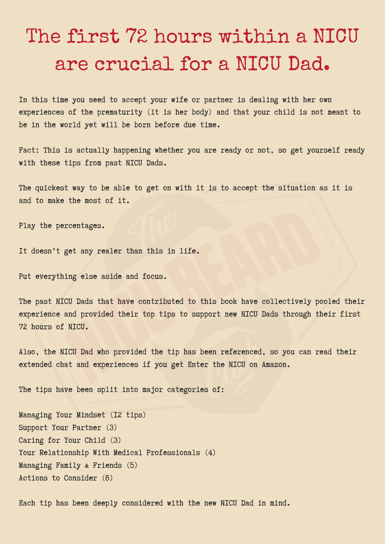# The first 72 hours within a NICU are [crucial](https://amzn.to/2BNNA7j) for a NICU Dad.

In this time you need to accept your wife or partner is dealing with her own experiences of the prematurity (it is her body) and that your child is not meant to be in the world yet will be born before due time.

Fact: This is actually happening whether you are ready or not, so get yourself ready with these tips from past NICU Dads.

The quickest way to be able to get on with it is to accept the situation as it is and to make the most of it.

Play the percentages.

It doesn't get any realer than this in life.

Put everything else aside and focus.

The past NICU Dads that have contributed to this book have collectively pooled their experience and provided their top tips to support new NICU Dads through their first 72 hours of NICU.

Also, the NICU Dad who provided the tip has been referenced, so you can read their extended chat and experiences if you get Enter the NICU on Amazon.

The tips have been split into major categories of:

Managing Your Mindset (12 tips) Support Your Partner (3) Caring for Your Child (3) Your Relationship With Medical [Professionals](https://amzn.to/2BNNA7j) (4) Managing Family & Friends (5) Actions to Consider (6)

Each tip has been deeply considered with the new NICU Dad in mind.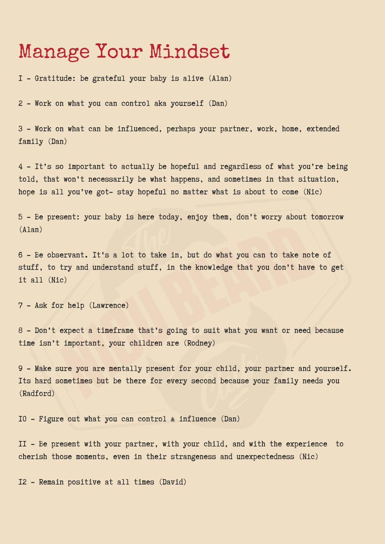#### Manage Your [Mindset](https://amzn.to/2BNNA7j)

1 - Gratitude: be grateful your baby is alive (Alan)

2 - Work on what you can control aka yourself (Dan)

3 - Work on what can be influenced, perhaps your partner, work, home, extended family (Dan)

4 - It's so important to actually be hopeful and regardless of what you're being told, that won't necessarily be what happens, and sometimes in that situation, hope is all you've got- stay hopeful no matter what is about to come (Nic)

5 - Be present: your baby is here today, enjoy them, don't worry about tomorrow (Alan)

6 - Be observant. It's a lot to take in, but do what you can to take note of stuff, to try and understand stuff, in the knowledge that you don't have to get it all (Nic)

7 - Ask for help (Lawrence)

8 - Don't expect a timeframe that's going to suit what you want or need because time isn't important, your children are (Rodney)

9 - Make sure you are mentally present for your child, your partner and yourself. Its hard sometimes but be there for every second because your family needs you (Radford)

10 - Figure out what you can control & influence (Dan)

11 - Be present with your partner, with your child, and with the experience to cherish those moments, even in their strangeness and [unexpectedness](https://amzn.to/2BNNA7j) (Nic)

12 - Remain positive at all times (David)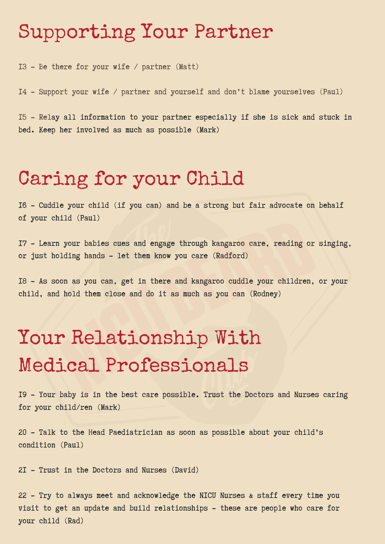### [Supporting](https://amzn.to/2BNNA7j) Your Partner

13 - Be there for your wife / partner (Matt)

14 - Support your wife / partner and yourself and don't blame yourselves (Paul)

15 - Relay all information to your partner especially if she is sick and stuck in bed. Keep her involved as much as possible (Mark)

## Caring for your Child

16 - Cuddle your child (if you can) and be a strong but fair advocate on behalf of your child (Paul)

17 - Learn your babies cues and engage through kangaroo care, reading or singing, or just holding hands - let them know you care (Radford)

18 - As soon as you can, get in there and kangaroo cuddle your children, or your child, and hold them close and do it as much as you can (Rodney)

# Your Relationship With Medical [Professionals](https://amzn.to/2BNNA7j)

19 - Your baby is in the best care possible. Trust the Doctors and Nurses caring for your child/ren (Mark)

20 - Talk to the Head Paediatrician as soon as possible about your child's condition (Paul)

21 - Trust in the Doctors and Nurses (David)

22 - Try to always meet and acknowledge the NICU Nurses & staff every time you visit to get an update and build relationships - these are people who care for your child (Rad)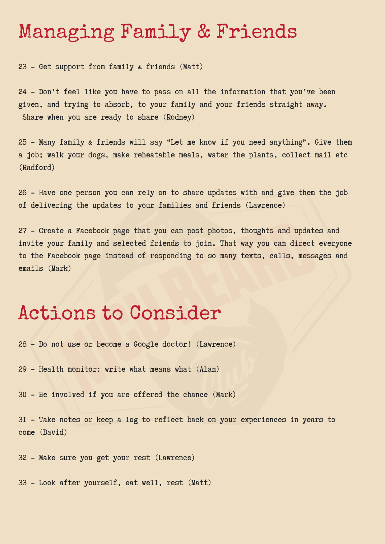### [Managing](https://amzn.to/2BNNA7j) Family & Friends

23 - Get support from family & friends (Matt)

24 - Don't feel like you have to pass on all the information that you've been given, and trying to absorb, to your family and your friends straight away. Share when you are ready to share (Rodney)

25 - Many family & friends will say "Let me know if you need anything". Give them a job; walk your dogs, make reheatable meals, water the plants, collect mail etc (Radford)

26 - Have one person you can rely on to share updates with and give them the job of delivering the updates to your families and friends (Lawrence)

27 - Create a Facebook page that you can post photos, thoughts and updates and invite your family and selected friends to join. That way you can direct everyone to the Facebook page instead of responding to so many texts, calls, messages and emails (Mark)

### Actions to [Consider](https://amzn.to/2BNNA7j)

28 - Do not use or become a Google doctor! (Lawrence)

29 - Health monitor: write what means what (Alan)

30 - Be involved if you are offered the chance (Mark)

31 - Take notes or keep a log to reflect back on your experiences in years to come (David)

32 - Make sure you get your rest (Lawrence)

33 - Look after yourself, eat well, rest (Matt)